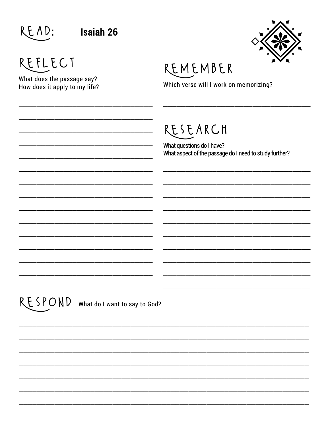| READ:                                                                  | <b>Isaiah 26</b>                      |                                                                                                 |
|------------------------------------------------------------------------|---------------------------------------|-------------------------------------------------------------------------------------------------|
| REFLECT<br>What does the passage say?<br>How does it apply to my life? |                                       | REMEMBER<br>Which verse will I work on memorizing?                                              |
|                                                                        |                                       | RESEARCH<br>What questions do I have?<br>What aspect of the passage do I need to study further? |
|                                                                        |                                       |                                                                                                 |
|                                                                        |                                       |                                                                                                 |
|                                                                        | RESPOND What do I want to say to God? |                                                                                                 |
|                                                                        |                                       |                                                                                                 |
|                                                                        |                                       |                                                                                                 |